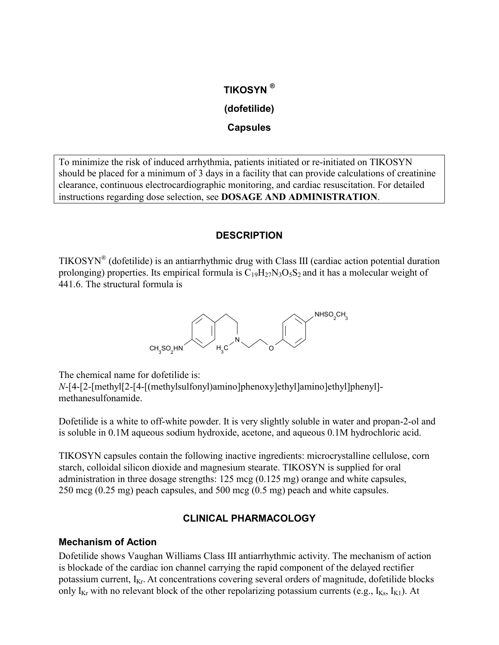# **TIKOSYN ®**

### **(dofetilide)**

#### **Capsules**

To minimize the risk of induced arrhythmia, patients initiated or re-initiated on TIKOSYN should be placed for a minimum of 3 days in a facility that can provide calculations of creatinine clearance, continuous electrocardiographic monitoring, and cardiac resuscitation. For detailed instructions regarding dose selection, see **DOSAGE AND ADMINISTRATION**.

## **DESCRIPTION**

TIKOSYN<sup>®</sup> (dofetilide) is an antiarrhythmic drug with Class III (cardiac action potential duration prolonging) properties. Its empirical formula is  $C_{19}H_{27}N_3O_5S_2$  and it has a molecular weight of 441.6. The structural formula is



The chemical name for dofetilide is: *N*-[4-[2-[methyl[2-[4-[(methylsulfonyl)amino]phenoxy]ethyl]amino]ethyl]phenyl] methanesulfonamide.

Dofetilide is a white to off-white powder. It is very slightly soluble in water and propan-2-ol and is soluble in 0.1M aqueous sodium hydroxide, acetone, and aqueous 0.1M hydrochloric acid.

TIKOSYN capsules contain the following inactive ingredients: microcrystalline cellulose, corn starch, colloidal silicon dioxide and magnesium stearate. TIKOSYN is supplied for oral administration in three dosage strengths: 125 mcg (0.125 mg) orange and white capsules, 250 mcg (0.25 mg) peach capsules, and 500 mcg (0.5 mg) peach and white capsules.

## **CLINICAL PHARMACOLOGY**

## **Mechanism of Action**

Dofetilide shows Vaughan Williams Class III antiarrhythmic activity. The mechanism of action is blockade of the cardiac ion channel carrying the rapid component of the delayed rectifier potassium current,  $I_{Kr}$ . At concentrations covering several orders of magnitude, dofetilide blocks only  $I_{Kr}$  with no relevant block of the other repolarizing potassium currents (e.g.,  $I_{Ks}$ ,  $I_{K1}$ ). At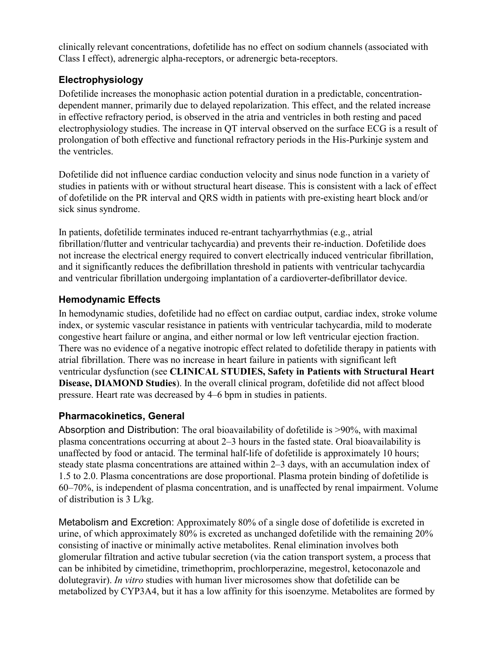clinically relevant concentrations, dofetilide has no effect on sodium channels (associated with Class I effect), adrenergic alpha-receptors, or adrenergic beta-receptors.

# **Electrophysiology**

Dofetilide increases the monophasic action potential duration in a predictable, concentrationdependent manner, primarily due to delayed repolarization. This effect, and the related increase in effective refractory period, is observed in the atria and ventricles in both resting and paced electrophysiology studies. The increase in QT interval observed on the surface ECG is a result of prolongation of both effective and functional refractory periods in the His-Purkinje system and the ventricles.

Dofetilide did not influence cardiac conduction velocity and sinus node function in a variety of studies in patients with or without structural heart disease. This is consistent with a lack of effect of dofetilide on the PR interval and QRS width in patients with pre-existing heart block and/or sick sinus syndrome.

In patients, dofetilide terminates induced re-entrant tachyarrhythmias (e.g., atrial fibrillation/flutter and ventricular tachycardia) and prevents their re-induction. Dofetilide does not increase the electrical energy required to convert electrically induced ventricular fibrillation, and it significantly reduces the defibrillation threshold in patients with ventricular tachycardia and ventricular fibrillation undergoing implantation of a cardioverter-defibrillator device.

# **Hemodynamic Effects**

In hemodynamic studies, dofetilide had no effect on cardiac output, cardiac index, stroke volume index, or systemic vascular resistance in patients with ventricular tachycardia, mild to moderate congestive heart failure or angina, and either normal or low left ventricular ejection fraction. There was no evidence of a negative inotropic effect related to dofetilide therapy in patients with atrial fibrillation. There was no increase in heart failure in patients with significant left ventricular dysfunction (see **CLINICAL STUDIES, Safety in Patients with Structural Heart Disease, DIAMOND Studies**). In the overall clinical program, dofetilide did not affect blood pressure. Heart rate was decreased by 4–6 bpm in studies in patients.

## **Pharmacokinetics, General**

Absorption and Distribution: The oral bioavailability of dofetilide is >90%, with maximal plasma concentrations occurring at about 2–3 hours in the fasted state. Oral bioavailability is unaffected by food or antacid. The terminal half-life of dofetilide is approximately 10 hours; steady state plasma concentrations are attained within 2–3 days, with an accumulation index of 1.5 to 2.0. Plasma concentrations are dose proportional. Plasma protein binding of dofetilide is 60–70%, is independent of plasma concentration, and is unaffected by renal impairment. Volume of distribution is 3 L/kg.

Metabolism and Excretion: Approximately 80% of a single dose of dofetilide is excreted in urine, of which approximately 80% is excreted as unchanged dofetilide with the remaining 20% consisting of inactive or minimally active metabolites. Renal elimination involves both glomerular filtration and active tubular secretion (via the cation transport system, a process that can be inhibited by cimetidine, trimethoprim, prochlorperazine, megestrol, ketoconazole and dolutegravir). *In vitro* studies with human liver microsomes show that dofetilide can be metabolized by CYP3A4, but it has a low affinity for this isoenzyme. Metabolites are formed by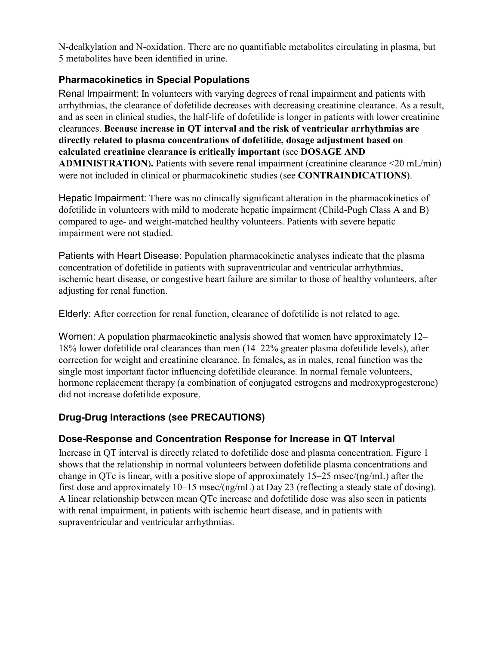N-dealkylation and N-oxidation. There are no quantifiable metabolites circulating in plasma, but 5 metabolites have been identified in urine.

# **Pharmacokinetics in Special Populations**

Renal Impairment: In volunteers with varying degrees of renal impairment and patients with arrhythmias, the clearance of dofetilide decreases with decreasing creatinine clearance. As a result, and as seen in clinical studies, the half-life of dofetilide is longer in patients with lower creatinine clearances. **Because increase in QT interval and the risk of ventricular arrhythmias are directly related to plasma concentrations of dofetilide, dosage adjustment based on calculated creatinine clearance is critically important** (see **DOSAGE AND ADMINISTRATION**)**.** Patients with severe renal impairment (creatinine clearance <20 mL/min) were not included in clinical or pharmacokinetic studies (see **CONTRAINDICATIONS**).

Hepatic Impairment: There was no clinically significant alteration in the pharmacokinetics of dofetilide in volunteers with mild to moderate hepatic impairment (Child-Pugh Class A and B) compared to age- and weight-matched healthy volunteers. Patients with severe hepatic impairment were not studied.

Patients with Heart Disease: Population pharmacokinetic analyses indicate that the plasma concentration of dofetilide in patients with supraventricular and ventricular arrhythmias, ischemic heart disease, or congestive heart failure are similar to those of healthy volunteers, after adjusting for renal function.

Elderly: After correction for renal function, clearance of dofetilide is not related to age.

Women: A population pharmacokinetic analysis showed that women have approximately 12– 18% lower dofetilide oral clearances than men (14–22% greater plasma dofetilide levels), after correction for weight and creatinine clearance. In females, as in males, renal function was the single most important factor influencing dofetilide clearance. In normal female volunteers, hormone replacement therapy (a combination of conjugated estrogens and medroxyprogesterone) did not increase dofetilide exposure.

# **Drug-Drug Interactions (see PRECAUTIONS)**

# **Dose-Response and Concentration Response for Increase in QT Interval**

Increase in QT interval is directly related to dofetilide dose and plasma concentration. Figure 1 shows that the relationship in normal volunteers between dofetilide plasma concentrations and change in QTc is linear, with a positive slope of approximately 15–25 msec/(ng/mL) after the first dose and approximately 10–15 msec/(ng/mL) at Day 23 (reflecting a steady state of dosing). A linear relationship between mean QTc increase and dofetilide dose was also seen in patients with renal impairment, in patients with ischemic heart disease, and in patients with supraventricular and ventricular arrhythmias.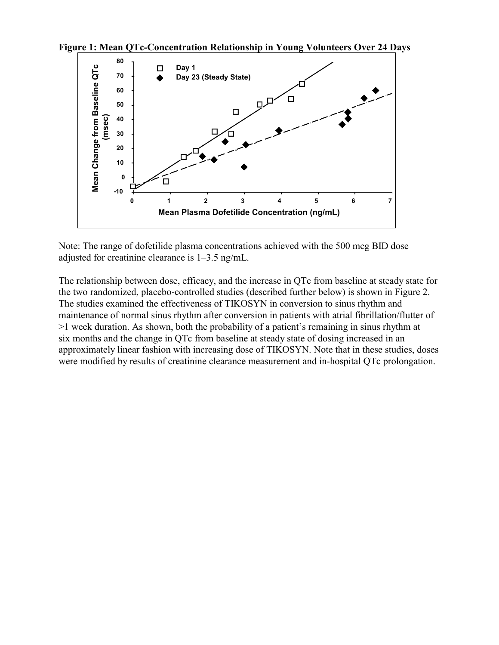**Figure 1: Mean QTc-Concentration Relationship in Young Volunteers Over 24 Days**



Note: The range of dofetilide plasma concentrations achieved with the 500 mcg BID dose adjusted for creatinine clearance is 1–3.5 ng/mL.

The relationship between dose, efficacy, and the increase in QTc from baseline at steady state for the two randomized, placebo-controlled studies (described further below) is shown in Figure 2. The studies examined the effectiveness of TIKOSYN in conversion to sinus rhythm and maintenance of normal sinus rhythm after conversion in patients with atrial fibrillation/flutter of >1 week duration. As shown, both the probability of a patient's remaining in sinus rhythm at six months and the change in QTc from baseline at steady state of dosing increased in an approximately linear fashion with increasing dose of TIKOSYN. Note that in these studies, doses were modified by results of creatinine clearance measurement and in-hospital QTc prolongation.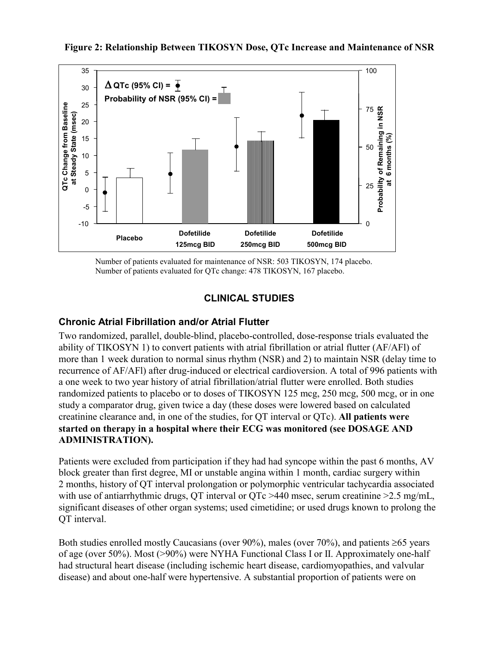

**Figure 2: Relationship Between TIKOSYN Dose, QTc Increase and Maintenance of NSR**

Number of patients evaluated for maintenance of NSR: 503 TIKOSYN, 174 placebo. Number of patients evaluated for QTc change: 478 TIKOSYN, 167 placebo.

# **CLINICAL STUDIES**

## **Chronic Atrial Fibrillation and/or Atrial Flutter**

Two randomized, parallel, double-blind, placebo-controlled, dose-response trials evaluated the ability of TIKOSYN 1) to convert patients with atrial fibrillation or atrial flutter (AF/AFl) of more than 1 week duration to normal sinus rhythm (NSR) and 2) to maintain NSR (delay time to recurrence of AF/AFl) after drug-induced or electrical cardioversion. A total of 996 patients with a one week to two year history of atrial fibrillation/atrial flutter were enrolled. Both studies randomized patients to placebo or to doses of TIKOSYN 125 mcg, 250 mcg, 500 mcg, or in one study a comparator drug, given twice a day (these doses were lowered based on calculated creatinine clearance and, in one of the studies, for QT interval or QTc). **All patients were started on therapy in a hospital where their ECG was monitored (see DOSAGE AND ADMINISTRATION).**

Patients were excluded from participation if they had had syncope within the past 6 months, AV block greater than first degree, MI or unstable angina within 1 month, cardiac surgery within 2 months, history of QT interval prolongation or polymorphic ventricular tachycardia associated with use of antiarrhythmic drugs, QT interval or QTc >440 msec, serum creatinine >2.5 mg/mL, significant diseases of other organ systems; used cimetidine; or used drugs known to prolong the QT interval.

Both studies enrolled mostly Caucasians (over 90%), males (over 70%), and patients  $\geq 65$  years of age (over 50%). Most (>90%) were NYHA Functional Class I or II. Approximately one-half had structural heart disease (including ischemic heart disease, cardiomyopathies, and valvular disease) and about one-half were hypertensive. A substantial proportion of patients were on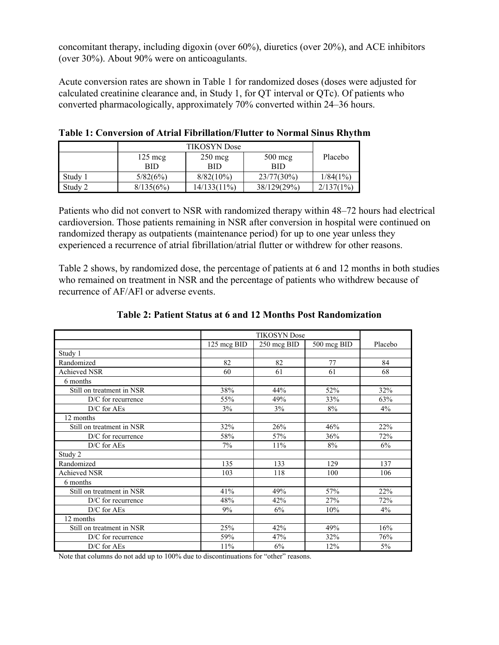concomitant therapy, including digoxin (over 60%), diuretics (over 20%), and ACE inhibitors (over 30%). About 90% were on anticoagulants.

Acute conversion rates are shown in Table 1 for randomized doses (doses were adjusted for calculated creatinine clearance and, in Study 1, for QT interval or QTc). Of patients who converted pharmacologically, approximately 70% converted within 24–36 hours.

|         | <b>TIKOSYN</b> Dose |                  |                  |           |
|---------|---------------------|------------------|------------------|-----------|
|         | $125 \text{ meg}$   | $250 \text{~mg}$ | $500 \text{~me}$ | Placebo   |
|         | BID.                | BID              | BID              |           |
| Study 1 | 5/82(6%)            | $8/82(10\%)$     | 23/77(30%)       | 1/84(1%)  |
| Study 2 | 8/135(6%)           | $14/133(11\%)$   | 38/129(29%)      | 2/137(1%) |

**Table 1: Conversion of Atrial Fibrillation/Flutter to Normal Sinus Rhythm**

Patients who did not convert to NSR with randomized therapy within 48–72 hours had electrical cardioversion. Those patients remaining in NSR after conversion in hospital were continued on randomized therapy as outpatients (maintenance period) for up to one year unless they experienced a recurrence of atrial fibrillation/atrial flutter or withdrew for other reasons.

Table 2 shows, by randomized dose, the percentage of patients at 6 and 12 months in both studies who remained on treatment in NSR and the percentage of patients who withdrew because of recurrence of AF/AFl or adverse events.

|                           | <b>TIKOSYN</b> Dose |             |             |         |
|---------------------------|---------------------|-------------|-------------|---------|
|                           | 125 mcg BID         | 250 mcg BID | 500 mcg BID | Placebo |
| Study 1                   |                     |             |             |         |
| Randomized                | 82                  | 82          | 77          | 84      |
| <b>Achieved NSR</b>       | 60                  | 61          | 61          | 68      |
| 6 months                  |                     |             |             |         |
| Still on treatment in NSR | 38%                 | 44%         | 52%         | 32%     |
| D/C for recurrence        | 55%                 | 49%         | 33%         | 63%     |
| D/C for AEs               | 3%                  | 3%          | 8%          | 4%      |
| 12 months                 |                     |             |             |         |
| Still on treatment in NSR | 32%                 | 26%         | 46%         | 22%     |
| D/C for recurrence        | 58%                 | 57%         | 36%         | 72%     |
| D/C for AEs               | 7%                  | 11%         | $8\%$       | 6%      |
| Study 2                   |                     |             |             |         |
| Randomized                | 135                 | 133         | 129         | 137     |
| <b>Achieved NSR</b>       | 103                 | 118         | 100         | 106     |
| 6 months                  |                     |             |             |         |
| Still on treatment in NSR | 41%                 | 49%         | 57%         | 22%     |
| D/C for recurrence        | 48%                 | 42%         | 27%         | 72%     |
| D/C for AEs               | 9%                  | 6%          | 10%         | 4%      |
| 12 months                 |                     |             |             |         |
| Still on treatment in NSR | 25%                 | 42%         | 49%         | 16%     |
| D/C for recurrence        | 59%                 | 47%         | 32%         | 76%     |
| D/C for AEs               | 11%                 | 6%          | 12%         | $5\%$   |

#### **Table 2: Patient Status at 6 and 12 Months Post Randomization**

Note that columns do not add up to 100% due to discontinuations for "other" reasons.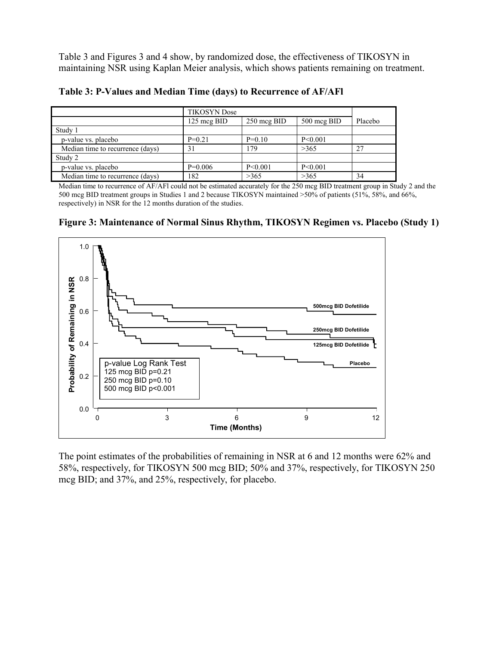Table 3 and Figures 3 and 4 show, by randomized dose, the effectiveness of TIKOSYN in maintaining NSR using Kaplan Meier analysis, which shows patients remaining on treatment.

|                                  | <b>TIKOSYN</b> Dose |             |             |         |
|----------------------------------|---------------------|-------------|-------------|---------|
|                                  | 125 mcg BID         | 250 mcg BID | 500 mcg BID | Placebo |
| Study 1                          |                     |             |             |         |
| p-value vs. placebo              | $P=0.21$            | $P=0.10$    | P < 0.001   |         |
| Median time to recurrence (days) | 31                  | 179         | >365        | 27      |
| Study 2                          |                     |             |             |         |
| p-value vs. placebo              | $P=0.006$           | P < 0.001   | P < 0.001   |         |
| Median time to recurrence (days) | 182                 | >365        | >365        | 34      |

**Table 3: P-Values and Median Time (days) to Recurrence of AF/AFl** 

Median time to recurrence of AF/AFl could not be estimated accurately for the 250 mcg BID treatment group in Study 2 and the 500 mcg BID treatment groups in Studies 1 and 2 because TIKOSYN maintained >50% of patients (51%, 58%, and 66%, respectively) in NSR for the 12 months duration of the studies.

**Figure 3: Maintenance of Normal Sinus Rhythm, TIKOSYN Regimen vs. Placebo (Study 1)**



The point estimates of the probabilities of remaining in NSR at 6 and 12 months were 62% and 58%, respectively, for TIKOSYN 500 mcg BID; 50% and 37%, respectively, for TIKOSYN 250 mcg BID; and 37%, and 25%, respectively, for placebo.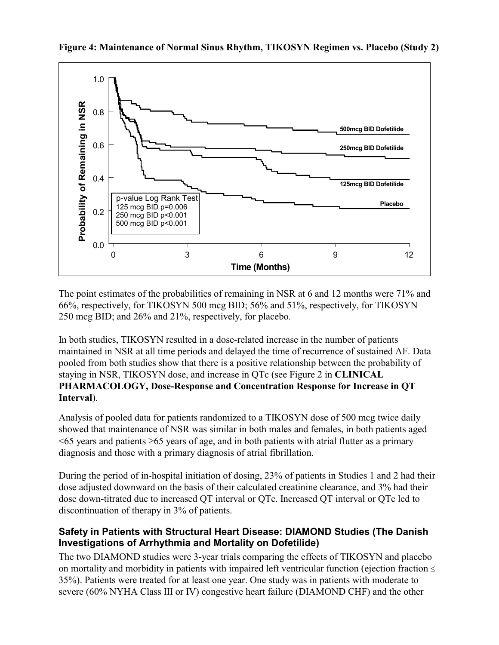

**Figure 4: Maintenance of Normal Sinus Rhythm, TIKOSYN Regimen vs. Placebo (Study 2)**

The point estimates of the probabilities of remaining in NSR at 6 and 12 months were 71% and 66%, respectively, for TIKOSYN 500 mcg BID; 56% and 51%, respectively, for TIKOSYN 250 mcg BID; and 26% and 21%, respectively, for placebo.

In both studies, TIKOSYN resulted in a dose-related increase in the number of patients maintained in NSR at all time periods and delayed the time of recurrence of sustained AF. Data pooled from both studies show that there is a positive relationship between the probability of staying in NSR, TIKOSYN dose, and increase in QTc (see Figure 2 in **CLINICAL PHARMACOLOGY, Dose-Response and Concentration Response for Increase in QT Interval**).

Analysis of pooled data for patients randomized to a TIKOSYN dose of 500 mcg twice daily showed that maintenance of NSR was similar in both males and females, in both patients aged  $\leq$  65 years and patients  $\geq$  65 years of age, and in both patients with atrial flutter as a primary diagnosis and those with a primary diagnosis of atrial fibrillation.

During the period of in-hospital initiation of dosing, 23% of patients in Studies 1 and 2 had their dose adjusted downward on the basis of their calculated creatinine clearance, and 3% had their dose down-titrated due to increased QT interval or QTc. Increased QT interval or QTc led to discontinuation of therapy in 3% of patients.

## **Safety in Patients with Structural Heart Disease: DIAMOND Studies (The Danish Investigations of Arrhythmia and Mortality on Dofetilide)**

The two DIAMOND studies were 3-year trials comparing the effects of TIKOSYN and placebo on mortality and morbidity in patients with impaired left ventricular function (ejection fraction  $\leq$ 35%). Patients were treated for at least one year. One study was in patients with moderate to severe (60% NYHA Class III or IV) congestive heart failure (DIAMOND CHF) and the other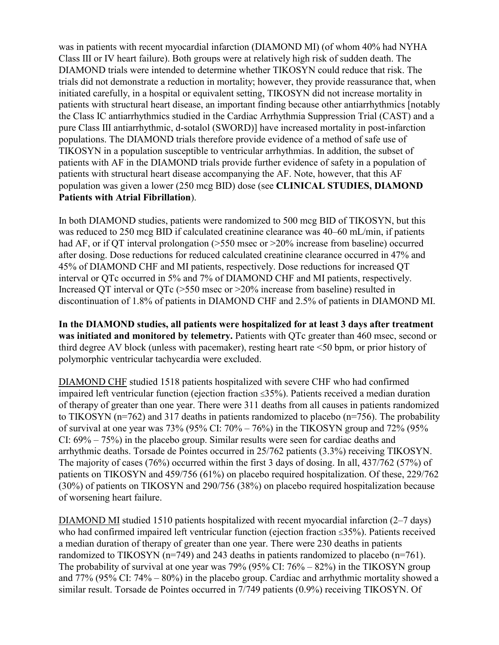was in patients with recent myocardial infarction (DIAMOND MI) (of whom 40% had NYHA Class III or IV heart failure). Both groups were at relatively high risk of sudden death. The DIAMOND trials were intended to determine whether TIKOSYN could reduce that risk. The trials did not demonstrate a reduction in mortality; however, they provide reassurance that, when initiated carefully, in a hospital or equivalent setting, TIKOSYN did not increase mortality in patients with structural heart disease, an important finding because other antiarrhythmics [notably the Class IC antiarrhythmics studied in the Cardiac Arrhythmia Suppression Trial (CAST) and a pure Class III antiarrhythmic, d-sotalol (SWORD)] have increased mortality in post-infarction populations. The DIAMOND trials therefore provide evidence of a method of safe use of TIKOSYN in a population susceptible to ventricular arrhythmias. In addition, the subset of patients with AF in the DIAMOND trials provide further evidence of safety in a population of patients with structural heart disease accompanying the AF. Note, however, that this AF population was given a lower (250 mcg BID) dose (see **CLINICAL STUDIES, DIAMOND Patients with Atrial Fibrillation**).

In both DIAMOND studies, patients were randomized to 500 mcg BID of TIKOSYN, but this was reduced to 250 mcg BID if calculated creatinine clearance was 40–60 mL/min, if patients had AF, or if QT interval prolongation (>550 msec or >20% increase from baseline) occurred after dosing. Dose reductions for reduced calculated creatinine clearance occurred in 47% and 45% of DIAMOND CHF and MI patients, respectively. Dose reductions for increased QT interval or QTc occurred in 5% and 7% of DIAMOND CHF and MI patients, respectively. Increased QT interval or QTc (>550 msec or >20% increase from baseline) resulted in discontinuation of 1.8% of patients in DIAMOND CHF and 2.5% of patients in DIAMOND MI.

**In the DIAMOND studies, all patients were hospitalized for at least 3 days after treatment was initiated and monitored by telemetry.** Patients with QTc greater than 460 msec, second or third degree AV block (unless with pacemaker), resting heart rate <50 bpm, or prior history of polymorphic ventricular tachycardia were excluded.

DIAMOND CHF studied 1518 patients hospitalized with severe CHF who had confirmed impaired left ventricular function (ejection fraction  $\leq$ 35%). Patients received a median duration of therapy of greater than one year. There were 311 deaths from all causes in patients randomized to TIKOSYN (n=762) and 317 deaths in patients randomized to placebo (n=756). The probability of survival at one year was 73% (95% CI: 70% – 76%) in the TIKOSYN group and 72% (95% CI: 69% – 75%) in the placebo group. Similar results were seen for cardiac deaths and arrhythmic deaths. Torsade de Pointes occurred in 25/762 patients (3.3%) receiving TIKOSYN. The majority of cases (76%) occurred within the first 3 days of dosing. In all, 437/762 (57%) of patients on TIKOSYN and 459/756 (61%) on placebo required hospitalization. Of these, 229/762 (30%) of patients on TIKOSYN and 290/756 (38%) on placebo required hospitalization because of worsening heart failure.

DIAMOND MI studied 1510 patients hospitalized with recent myocardial infarction (2–7 days) who had confirmed impaired left ventricular function (ejection fraction  $\leq$ 35%). Patients received a median duration of therapy of greater than one year. There were 230 deaths in patients randomized to TIKOSYN (n=749) and 243 deaths in patients randomized to placebo (n=761). The probability of survival at one year was  $79\%$  (95% CI:  $76\% - 82\%$ ) in the TIKOSYN group and 77% (95% CI: 74% – 80%) in the placebo group. Cardiac and arrhythmic mortality showed a similar result. Torsade de Pointes occurred in 7/749 patients (0.9%) receiving TIKOSYN. Of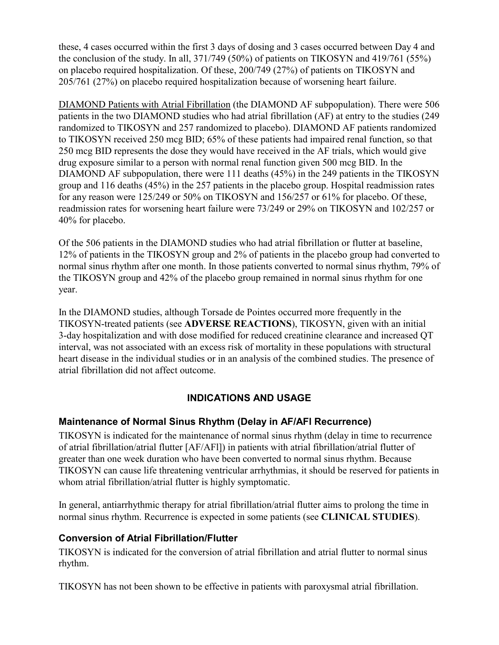these, 4 cases occurred within the first 3 days of dosing and 3 cases occurred between Day 4 and the conclusion of the study. In all, 371/749 (50%) of patients on TIKOSYN and 419/761 (55%) on placebo required hospitalization. Of these, 200/749 (27%) of patients on TIKOSYN and 205/761 (27%) on placebo required hospitalization because of worsening heart failure.

DIAMOND Patients with Atrial Fibrillation (the DIAMOND AF subpopulation). There were 506 patients in the two DIAMOND studies who had atrial fibrillation (AF) at entry to the studies (249 randomized to TIKOSYN and 257 randomized to placebo). DIAMOND AF patients randomized to TIKOSYN received 250 mcg BID; 65% of these patients had impaired renal function, so that 250 mcg BID represents the dose they would have received in the AF trials, which would give drug exposure similar to a person with normal renal function given 500 mcg BID. In the DIAMOND AF subpopulation, there were 111 deaths (45%) in the 249 patients in the TIKOSYN group and 116 deaths (45%) in the 257 patients in the placebo group. Hospital readmission rates for any reason were 125/249 or 50% on TIKOSYN and 156/257 or 61% for placebo. Of these, readmission rates for worsening heart failure were 73/249 or 29% on TIKOSYN and 102/257 or 40% for placebo.

Of the 506 patients in the DIAMOND studies who had atrial fibrillation or flutter at baseline, 12% of patients in the TIKOSYN group and 2% of patients in the placebo group had converted to normal sinus rhythm after one month. In those patients converted to normal sinus rhythm, 79% of the TIKOSYN group and 42% of the placebo group remained in normal sinus rhythm for one year.

In the DIAMOND studies, although Torsade de Pointes occurred more frequently in the TIKOSYN-treated patients (see **ADVERSE REACTIONS**), TIKOSYN, given with an initial 3-day hospitalization and with dose modified for reduced creatinine clearance and increased QT interval, was not associated with an excess risk of mortality in these populations with structural heart disease in the individual studies or in an analysis of the combined studies. The presence of atrial fibrillation did not affect outcome.

# **INDICATIONS AND USAGE**

# **Maintenance of Normal Sinus Rhythm (Delay in AF/AFl Recurrence)**

TIKOSYN is indicated for the maintenance of normal sinus rhythm (delay in time to recurrence of atrial fibrillation/atrial flutter [AF/AFl]) in patients with atrial fibrillation/atrial flutter of greater than one week duration who have been converted to normal sinus rhythm. Because TIKOSYN can cause life threatening ventricular arrhythmias, it should be reserved for patients in whom atrial fibrillation/atrial flutter is highly symptomatic.

In general, antiarrhythmic therapy for atrial fibrillation/atrial flutter aims to prolong the time in normal sinus rhythm. Recurrence is expected in some patients (see **CLINICAL STUDIES**).

## **Conversion of Atrial Fibrillation/Flutter**

TIKOSYN is indicated for the conversion of atrial fibrillation and atrial flutter to normal sinus rhythm.

TIKOSYN has not been shown to be effective in patients with paroxysmal atrial fibrillation.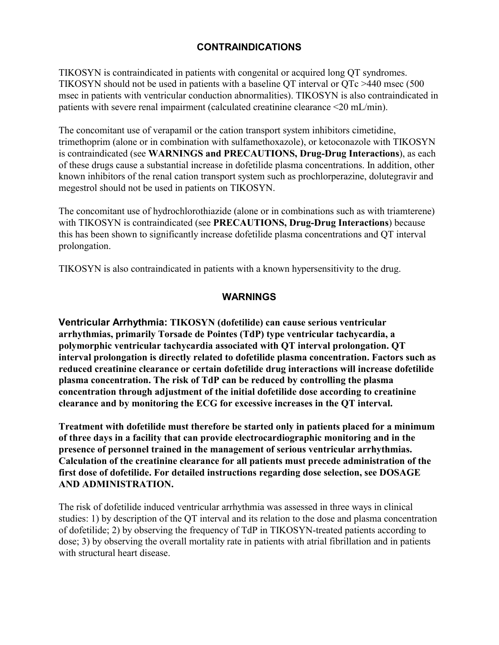#### **CONTRAINDICATIONS**

TIKOSYN is contraindicated in patients with congenital or acquired long QT syndromes. TIKOSYN should not be used in patients with a baseline QT interval or QTc >440 msec (500 msec in patients with ventricular conduction abnormalities). TIKOSYN is also contraindicated in patients with severe renal impairment (calculated creatinine clearance <20 mL/min).

The concomitant use of verapamil or the cation transport system inhibitors cimetidine, trimethoprim (alone or in combination with sulfamethoxazole), or ketoconazole with TIKOSYN is contraindicated (see **WARNINGS and PRECAUTIONS, Drug-Drug Interactions**), as each of these drugs cause a substantial increase in dofetilide plasma concentrations. In addition, other known inhibitors of the renal cation transport system such as prochlorperazine, dolutegravir and megestrol should not be used in patients on TIKOSYN.

The concomitant use of hydrochlorothiazide (alone or in combinations such as with triamterene) with TIKOSYN is contraindicated (see **PRECAUTIONS, Drug-Drug Interactions**) because this has been shown to significantly increase dofetilide plasma concentrations and QT interval prolongation.

TIKOSYN is also contraindicated in patients with a known hypersensitivity to the drug.

#### **WARNINGS**

**Ventricular Arrhythmia: TIKOSYN (dofetilide) can cause serious ventricular arrhythmias, primarily Torsade de Pointes (TdP) type ventricular tachycardia, a polymorphic ventricular tachycardia associated with QT interval prolongation. QT interval prolongation is directly related to dofetilide plasma concentration. Factors such as reduced creatinine clearance or certain dofetilide drug interactions will increase dofetilide plasma concentration. The risk of TdP can be reduced by controlling the plasma concentration through adjustment of the initial dofetilide dose according to creatinine clearance and by monitoring the ECG for excessive increases in the QT interval.** 

**Treatment with dofetilide must therefore be started only in patients placed for a minimum of three days in a facility that can provide electrocardiographic monitoring and in the presence of personnel trained in the management of serious ventricular arrhythmias. Calculation of the creatinine clearance for all patients must precede administration of the first dose of dofetilide. For detailed instructions regarding dose selection, see DOSAGE AND ADMINISTRATION.**

The risk of dofetilide induced ventricular arrhythmia was assessed in three ways in clinical studies: 1) by description of the QT interval and its relation to the dose and plasma concentration of dofetilide; 2) by observing the frequency of TdP in TIKOSYN-treated patients according to dose; 3) by observing the overall mortality rate in patients with atrial fibrillation and in patients with structural heart disease.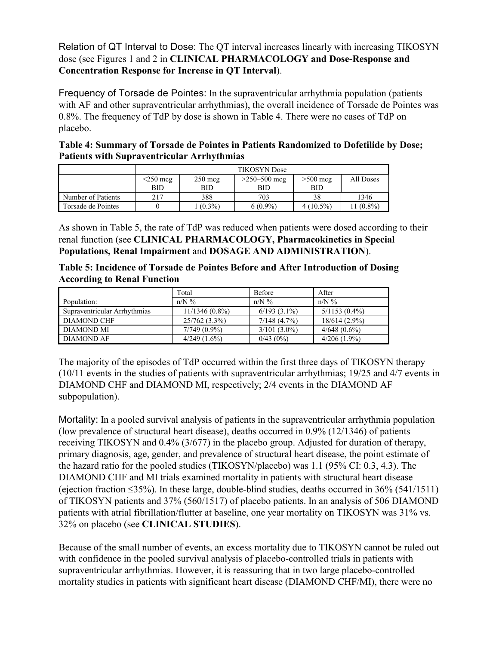Relation of QT Interval to Dose: The QT interval increases linearly with increasing TIKOSYN dose (see Figures 1 and 2 in **CLINICAL PHARMACOLOGY and Dose-Response and Concentration Response for Increase in QT Interval**).

Frequency of Torsade de Pointes: In the supraventricular arrhythmia population (patients with AF and other supraventricular arrhythmias), the overall incidence of Torsade de Pointes was 0.8%. The frequency of TdP by dose is shown in Table 4. There were no cases of TdP on placebo.

| Table 4: Summary of Torsade de Pointes in Patients Randomized to Dofetilide by Dose; |
|--------------------------------------------------------------------------------------|
| <b>Patients with Supraventricular Arrhythmias</b>                                    |

|                    | <b>TIKOSYN</b> Dose |                  |                  |             |            |
|--------------------|---------------------|------------------|------------------|-------------|------------|
|                    | $\leq$ 250 mcg      | $250 \text{~me}$ | $>250 - 500$ mcg | $>500$ mcg  | All Doses  |
|                    | BID                 | BID              | BID              | BID         |            |
| Number of Patients | 217                 | 388              | 703              | 38          | 1346       |
| Torsade de Pointes |                     | $(0.3\%)$        | $6(0.9\%)$       | $4(10.5\%)$ | $1(0.8\%)$ |

As shown in Table 5, the rate of TdP was reduced when patients were dosed according to their renal function (see **CLINICAL PHARMACOLOGY, Pharmacokinetics in Special Populations, Renal Impairment** and **DOSAGE AND ADMINISTRATION**).

| Table 5: Incidence of Torsade de Pointes Before and After Introduction of Dosing |  |  |
|----------------------------------------------------------------------------------|--|--|
| <b>According to Renal Function</b>                                               |  |  |

|                              | Total            | <b>Before</b>     | After           |
|------------------------------|------------------|-------------------|-----------------|
| Population:                  | $n/N$ %          | $n/N$ %           | $n/N$ %         |
| Supraventricular Arrhythmias | $11/1346(0.8\%)$ | $6/193(3.1\%)$    | $5/1153(0.4\%)$ |
| DIAMOND CHF                  | 25/762(3.3%)     | 7/148(4.7%)       | $18/614(2.9\%)$ |
| DIAMOND MI                   | $7/749(0.9\%)$   | $3/101$ $(3.0\%)$ | $4/648(0.6\%)$  |
| DIAMOND AF                   | 4/249(1.6%)      | $0/43(0\%)$       | $4/206(1.9\%)$  |

The majority of the episodes of TdP occurred within the first three days of TIKOSYN therapy (10/11 events in the studies of patients with supraventricular arrhythmias; 19/25 and 4/7 events in DIAMOND CHF and DIAMOND MI, respectively; 2/4 events in the DIAMOND AF subpopulation).

Mortality: In a pooled survival analysis of patients in the supraventricular arrhythmia population (low prevalence of structural heart disease), deaths occurred in 0.9% (12/1346) of patients receiving TIKOSYN and 0.4% (3/677) in the placebo group. Adjusted for duration of therapy, primary diagnosis, age, gender, and prevalence of structural heart disease, the point estimate of the hazard ratio for the pooled studies (TIKOSYN/placebo) was 1.1 (95% CI: 0.3, 4.3). The DIAMOND CHF and MI trials examined mortality in patients with structural heart disease (ejection fraction  $\leq 35\%$ ). In these large, double-blind studies, deaths occurred in 36% (541/1511) of TIKOSYN patients and 37% (560/1517) of placebo patients. In an analysis of 506 DIAMOND patients with atrial fibrillation/flutter at baseline, one year mortality on TIKOSYN was 31% vs. 32% on placebo (see **CLINICAL STUDIES**).

Because of the small number of events, an excess mortality due to TIKOSYN cannot be ruled out with confidence in the pooled survival analysis of placebo-controlled trials in patients with supraventricular arrhythmias. However, it is reassuring that in two large placebo-controlled mortality studies in patients with significant heart disease (DIAMOND CHF/MI), there were no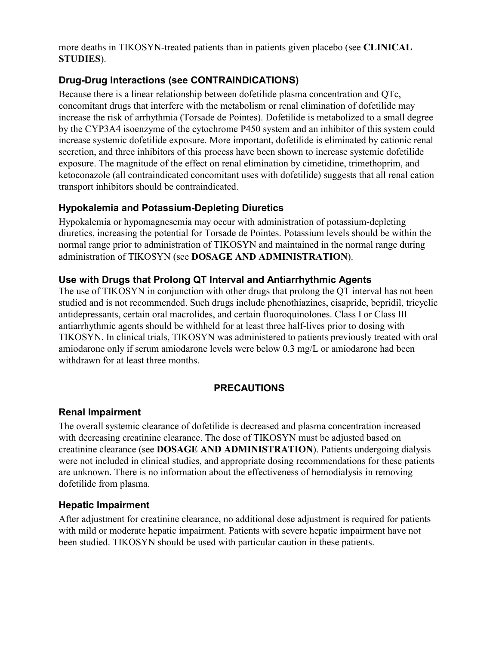more deaths in TIKOSYN-treated patients than in patients given placebo (see **CLINICAL STUDIES**).

## **Drug-Drug Interactions (see CONTRAINDICATIONS)**

Because there is a linear relationship between dofetilide plasma concentration and QTc, concomitant drugs that interfere with the metabolism or renal elimination of dofetilide may increase the risk of arrhythmia (Torsade de Pointes). Dofetilide is metabolized to a small degree by the CYP3A4 isoenzyme of the cytochrome P450 system and an inhibitor of this system could increase systemic dofetilide exposure. More important, dofetilide is eliminated by cationic renal secretion, and three inhibitors of this process have been shown to increase systemic dofetilide exposure. The magnitude of the effect on renal elimination by cimetidine, trimethoprim, and ketoconazole (all contraindicated concomitant uses with dofetilide) suggests that all renal cation transport inhibitors should be contraindicated.

# **Hypokalemia and Potassium-Depleting Diuretics**

Hypokalemia or hypomagnesemia may occur with administration of potassium-depleting diuretics, increasing the potential for Torsade de Pointes. Potassium levels should be within the normal range prior to administration of TIKOSYN and maintained in the normal range during administration of TIKOSYN (see **DOSAGE AND ADMINISTRATION**).

## **Use with Drugs that Prolong QT Interval and Antiarrhythmic Agents**

The use of TIKOSYN in conjunction with other drugs that prolong the QT interval has not been studied and is not recommended. Such drugs include phenothiazines, cisapride, bepridil, tricyclic antidepressants, certain oral macrolides, and certain fluoroquinolones. Class I or Class III antiarrhythmic agents should be withheld for at least three half-lives prior to dosing with TIKOSYN. In clinical trials, TIKOSYN was administered to patients previously treated with oral amiodarone only if serum amiodarone levels were below 0.3 mg/L or amiodarone had been withdrawn for at least three months.

# **PRECAUTIONS**

## **Renal Impairment**

The overall systemic clearance of dofetilide is decreased and plasma concentration increased with decreasing creatinine clearance. The dose of TIKOSYN must be adjusted based on creatinine clearance (see **DOSAGE AND ADMINISTRATION**). Patients undergoing dialysis were not included in clinical studies, and appropriate dosing recommendations for these patients are unknown. There is no information about the effectiveness of hemodialysis in removing dofetilide from plasma.

## **Hepatic Impairment**

After adjustment for creatinine clearance, no additional dose adjustment is required for patients with mild or moderate hepatic impairment. Patients with severe hepatic impairment have not been studied. TIKOSYN should be used with particular caution in these patients.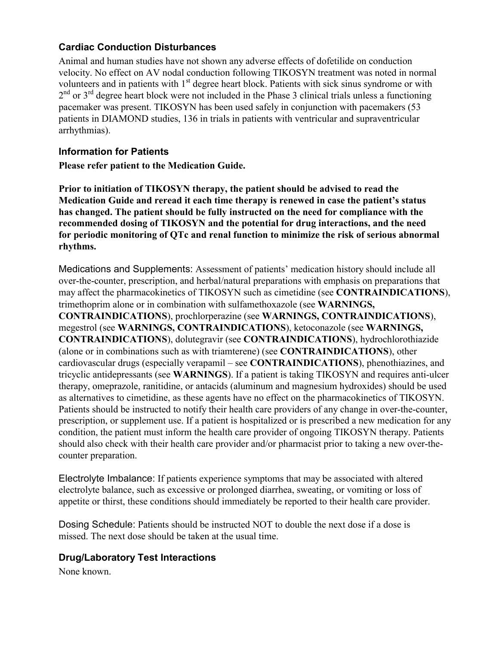## **Cardiac Conduction Disturbances**

Animal and human studies have not shown any adverse effects of dofetilide on conduction velocity. No effect on AV nodal conduction following TIKOSYN treatment was noted in normal volunteers and in patients with 1<sup>st</sup> degree heart block. Patients with sick sinus syndrome or with  $2<sup>nd</sup>$  or  $3<sup>rd</sup>$  degree heart block were not included in the Phase 3 clinical trials unless a functioning pacemaker was present. TIKOSYN has been used safely in conjunction with pacemakers (53 patients in DIAMOND studies, 136 in trials in patients with ventricular and supraventricular arrhythmias).

#### **Information for Patients**

**Please refer patient to the Medication Guide.**

**Prior to initiation of TIKOSYN therapy, the patient should be advised to read the Medication Guide and reread it each time therapy is renewed in case the patient's status has changed. The patient should be fully instructed on the need for compliance with the recommended dosing of TIKOSYN and the potential for drug interactions, and the need for periodic monitoring of QTc and renal function to minimize the risk of serious abnormal rhythms.**

Medications and Supplements: Assessment of patients' medication history should include all over-the-counter, prescription, and herbal/natural preparations with emphasis on preparations that may affect the pharmacokinetics of TIKOSYN such as cimetidine (see **CONTRAINDICATIONS**), trimethoprim alone or in combination with sulfamethoxazole (see **WARNINGS, CONTRAINDICATIONS**), prochlorperazine (see **WARNINGS, CONTRAINDICATIONS**), megestrol (see **WARNINGS, CONTRAINDICATIONS**), ketoconazole (see **WARNINGS, CONTRAINDICATIONS**), dolutegravir (see **CONTRAINDICATIONS**), hydrochlorothiazide (alone or in combinations such as with triamterene) (see **CONTRAINDICATIONS**), other cardiovascular drugs (especially verapamil – see **CONTRAINDICATIONS**), phenothiazines, and tricyclic antidepressants (see **WARNINGS**). If a patient is taking TIKOSYN and requires anti-ulcer therapy, omeprazole, ranitidine, or antacids (aluminum and magnesium hydroxides) should be used as alternatives to cimetidine, as these agents have no effect on the pharmacokinetics of TIKOSYN. Patients should be instructed to notify their health care providers of any change in over-the-counter, prescription, or supplement use. If a patient is hospitalized or is prescribed a new medication for any condition, the patient must inform the health care provider of ongoing TIKOSYN therapy. Patients should also check with their health care provider and/or pharmacist prior to taking a new over-thecounter preparation.

Electrolyte Imbalance: If patients experience symptoms that may be associated with altered electrolyte balance, such as excessive or prolonged diarrhea, sweating, or vomiting or loss of appetite or thirst, these conditions should immediately be reported to their health care provider.

Dosing Schedule: Patients should be instructed NOT to double the next dose if a dose is missed. The next dose should be taken at the usual time.

#### **Drug/Laboratory Test Interactions**

None known.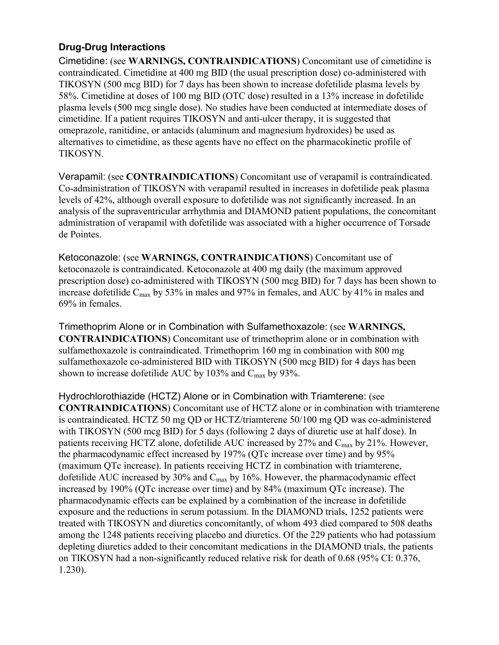## **Drug-Drug Interactions**

Cimetidine: (see **WARNINGS, CONTRAINDICATIONS**) Concomitant use of cimetidine is contraindicated. Cimetidine at 400 mg BID (the usual prescription dose) co-administered with TIKOSYN (500 mcg BID) for 7 days has been shown to increase dofetilide plasma levels by 58%. Cimetidine at doses of 100 mg BID (OTC dose) resulted in a 13% increase in dofetilide plasma levels (500 mcg single dose). No studies have been conducted at intermediate doses of cimetidine. If a patient requires TIKOSYN and anti-ulcer therapy, it is suggested that omeprazole, ranitidine, or antacids (aluminum and magnesium hydroxides) be used as alternatives to cimetidine, as these agents have no effect on the pharmacokinetic profile of TIKOSYN.

Verapamil: (see **CONTRAINDICATIONS**) Concomitant use of verapamil is contraindicated. Co-administration of TIKOSYN with verapamil resulted in increases in dofetilide peak plasma levels of 42%, although overall exposure to dofetilide was not significantly increased. In an analysis of the supraventricular arrhythmia and DIAMOND patient populations, the concomitant administration of verapamil with dofetilide was associated with a higher occurrence of Torsade de Pointes.

Ketoconazole: (see **WARNINGS, CONTRAINDICATIONS**) Concomitant use of ketoconazole is contraindicated. Ketoconazole at 400 mg daily (the maximum approved prescription dose) co-administered with TIKOSYN (500 mcg BID) for 7 days has been shown to increase dofetilide  $C_{\text{max}}$  by 53% in males and 97% in females, and AUC by 41% in males and 69% in females.

Trimethoprim Alone or in Combination with Sulfamethoxazole: (see **WARNINGS, CONTRAINDICATIONS**) Concomitant use of trimethoprim alone or in combination with sulfamethoxazole is contraindicated. Trimethoprim 160 mg in combination with 800 mg sulfamethoxazole co-administered BID with TIKOSYN (500 mcg BID) for 4 days has been shown to increase dofetilide AUC by 103% and C<sub>max</sub> by 93%.

Hydrochlorothiazide (HCTZ) Alone or in Combination with Triamterene: (see **CONTRAINDICATIONS**) Concomitant use of HCTZ alone or in combination with triamterene is contraindicated. HCTZ 50 mg QD or HCTZ/triamterene 50/100 mg QD was co-administered with TIKOSYN (500 mcg BID) for 5 days (following 2 days of diuretic use at half dose). In patients receiving HCTZ alone, dofetilide AUC increased by  $27\%$  and  $C_{\text{max}}$  by  $21\%$ . However, the pharmacodynamic effect increased by 197% (QTc increase over time) and by 95% (maximum QTc increase). In patients receiving HCTZ in combination with triamterene, dofetilide AUC increased by 30% and  $C_{\text{max}}$  by 16%. However, the pharmacodynamic effect increased by 190% (QTc increase over time) and by 84% (maximum QTc increase). The pharmacodynamic effects can be explained by a combination of the increase in dofetilide exposure and the reductions in serum potassium. In the DIAMOND trials, 1252 patients were treated with TIKOSYN and diuretics concomitantly, of whom 493 died compared to 508 deaths among the 1248 patients receiving placebo and diuretics. Of the 229 patients who had potassium depleting diuretics added to their concomitant medications in the DIAMOND trials, the patients on TIKOSYN had a non-significantly reduced relative risk for death of 0.68 (95% CI: 0.376, 1.230).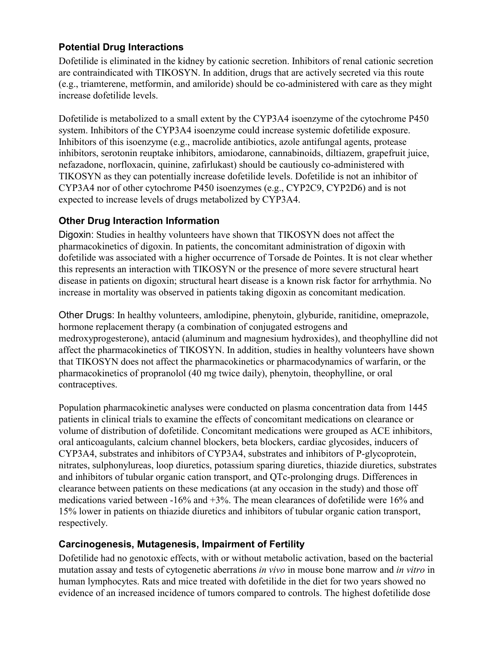## **Potential Drug Interactions**

Dofetilide is eliminated in the kidney by cationic secretion. Inhibitors of renal cationic secretion are contraindicated with TIKOSYN. In addition, drugs that are actively secreted via this route (e.g., triamterene, metformin, and amiloride) should be co-administered with care as they might increase dofetilide levels.

Dofetilide is metabolized to a small extent by the CYP3A4 isoenzyme of the cytochrome P450 system. Inhibitors of the CYP3A4 isoenzyme could increase systemic dofetilide exposure. Inhibitors of this isoenzyme (e.g., macrolide antibiotics, azole antifungal agents, protease inhibitors, serotonin reuptake inhibitors, amiodarone, cannabinoids, diltiazem, grapefruit juice, nefazadone, norfloxacin, quinine, zafirlukast) should be cautiously co-administered with TIKOSYN as they can potentially increase dofetilide levels. Dofetilide is not an inhibitor of CYP3A4 nor of other cytochrome P450 isoenzymes (e.g., CYP2C9, CYP2D6) and is not expected to increase levels of drugs metabolized by CYP3A4.

## **Other Drug Interaction Information**

Digoxin: Studies in healthy volunteers have shown that TIKOSYN does not affect the pharmacokinetics of digoxin. In patients, the concomitant administration of digoxin with dofetilide was associated with a higher occurrence of Torsade de Pointes. It is not clear whether this represents an interaction with TIKOSYN or the presence of more severe structural heart disease in patients on digoxin; structural heart disease is a known risk factor for arrhythmia. No increase in mortality was observed in patients taking digoxin as concomitant medication.

Other Drugs: In healthy volunteers, amlodipine, phenytoin, glyburide, ranitidine, omeprazole, hormone replacement therapy (a combination of conjugated estrogens and medroxyprogesterone), antacid (aluminum and magnesium hydroxides), and theophylline did not affect the pharmacokinetics of TIKOSYN. In addition, studies in healthy volunteers have shown that TIKOSYN does not affect the pharmacokinetics or pharmacodynamics of warfarin, or the pharmacokinetics of propranolol (40 mg twice daily), phenytoin, theophylline, or oral contraceptives.

Population pharmacokinetic analyses were conducted on plasma concentration data from 1445 patients in clinical trials to examine the effects of concomitant medications on clearance or volume of distribution of dofetilide. Concomitant medications were grouped as ACE inhibitors, oral anticoagulants, calcium channel blockers, beta blockers, cardiac glycosides, inducers of CYP3A4, substrates and inhibitors of CYP3A4, substrates and inhibitors of P-glycoprotein, nitrates, sulphonylureas, loop diuretics, potassium sparing diuretics, thiazide diuretics, substrates and inhibitors of tubular organic cation transport, and QTc-prolonging drugs. Differences in clearance between patients on these medications (at any occasion in the study) and those off medications varied between -16% and +3%. The mean clearances of dofetilide were 16% and 15% lower in patients on thiazide diuretics and inhibitors of tubular organic cation transport, respectively.

# **Carcinogenesis, Mutagenesis, Impairment of Fertility**

Dofetilide had no genotoxic effects, with or without metabolic activation, based on the bacterial mutation assay and tests of cytogenetic aberrations *in vivo* in mouse bone marrow and *in vitro* in human lymphocytes. Rats and mice treated with dofetilide in the diet for two years showed no evidence of an increased incidence of tumors compared to controls. The highest dofetilide dose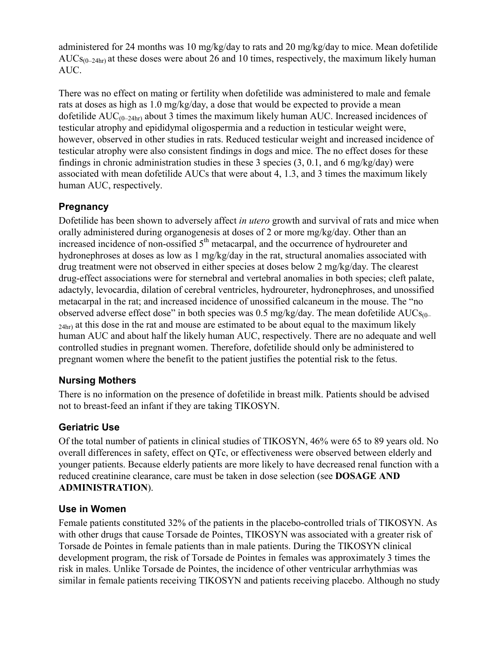administered for 24 months was 10 mg/kg/day to rats and 20 mg/kg/day to mice. Mean dofetilide AUC $S_{(0-24hr)}$  at these doses were about 26 and 10 times, respectively, the maximum likely human AUC.

There was no effect on mating or fertility when dofetilide was administered to male and female rats at doses as high as 1.0 mg/kg/day, a dose that would be expected to provide a mean dofetilide  $AUC_{(0-24hr)}$  about 3 times the maximum likely human AUC. Increased incidences of testicular atrophy and epididymal oligospermia and a reduction in testicular weight were, however, observed in other studies in rats. Reduced testicular weight and increased incidence of testicular atrophy were also consistent findings in dogs and mice. The no effect doses for these findings in chronic administration studies in these 3 species (3, 0.1, and 6 mg/kg/day) were associated with mean dofetilide AUCs that were about 4, 1.3, and 3 times the maximum likely human AUC, respectively.

## **Pregnancy**

Dofetilide has been shown to adversely affect *in utero* growth and survival of rats and mice when orally administered during organogenesis at doses of 2 or more mg/kg/day. Other than an increased incidence of non-ossified  $5<sup>th</sup>$  metacarpal, and the occurrence of hydroureter and hydronephroses at doses as low as 1 mg/kg/day in the rat, structural anomalies associated with drug treatment were not observed in either species at doses below 2 mg/kg/day. The clearest drug-effect associations were for sternebral and vertebral anomalies in both species; cleft palate, adactyly, levocardia, dilation of cerebral ventricles, hydroureter, hydronephroses, and unossified metacarpal in the rat; and increased incidence of unossified calcaneum in the mouse. The "no observed adverse effect dose" in both species was 0.5 mg/kg/day. The mean dofetilide  $AUCs_{0-}$  $_{24hr}$ ) at this dose in the rat and mouse are estimated to be about equal to the maximum likely human AUC and about half the likely human AUC, respectively. There are no adequate and well controlled studies in pregnant women. Therefore, dofetilide should only be administered to pregnant women where the benefit to the patient justifies the potential risk to the fetus.

## **Nursing Mothers**

There is no information on the presence of dofetilide in breast milk. Patients should be advised not to breast-feed an infant if they are taking TIKOSYN.

# **Geriatric Use**

Of the total number of patients in clinical studies of TIKOSYN, 46% were 65 to 89 years old. No overall differences in safety, effect on QTc, or effectiveness were observed between elderly and younger patients. Because elderly patients are more likely to have decreased renal function with a reduced creatinine clearance, care must be taken in dose selection (see **DOSAGE AND ADMINISTRATION**).

## **Use in Women**

Female patients constituted 32% of the patients in the placebo-controlled trials of TIKOSYN. As with other drugs that cause Torsade de Pointes, TIKOSYN was associated with a greater risk of Torsade de Pointes in female patients than in male patients. During the TIKOSYN clinical development program, the risk of Torsade de Pointes in females was approximately 3 times the risk in males. Unlike Torsade de Pointes, the incidence of other ventricular arrhythmias was similar in female patients receiving TIKOSYN and patients receiving placebo. Although no study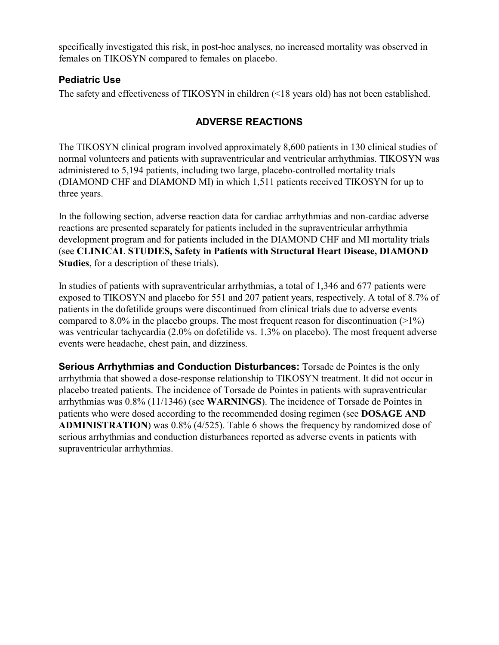specifically investigated this risk, in post-hoc analyses, no increased mortality was observed in females on TIKOSYN compared to females on placebo.

## **Pediatric Use**

The safety and effectiveness of TIKOSYN in children (<18 years old) has not been established.

## **ADVERSE REACTIONS**

The TIKOSYN clinical program involved approximately 8,600 patients in 130 clinical studies of normal volunteers and patients with supraventricular and ventricular arrhythmias. TIKOSYN was administered to 5,194 patients, including two large, placebo-controlled mortality trials (DIAMOND CHF and DIAMOND MI) in which 1,511 patients received TIKOSYN for up to three years.

In the following section, adverse reaction data for cardiac arrhythmias and non-cardiac adverse reactions are presented separately for patients included in the supraventricular arrhythmia development program and for patients included in the DIAMOND CHF and MI mortality trials (see **CLINICAL STUDIES, Safety in Patients with Structural Heart Disease, DIAMOND Studies**, for a description of these trials).

In studies of patients with supraventricular arrhythmias, a total of 1,346 and 677 patients were exposed to TIKOSYN and placebo for 551 and 207 patient years, respectively. A total of 8.7% of patients in the dofetilide groups were discontinued from clinical trials due to adverse events compared to 8.0% in the placebo groups. The most frequent reason for discontinuation  $(>1\%)$ was ventricular tachycardia (2.0% on dofetilide vs. 1.3% on placebo). The most frequent adverse events were headache, chest pain, and dizziness.

**Serious Arrhythmias and Conduction Disturbances:** Torsade de Pointes is the only arrhythmia that showed a dose-response relationship to TIKOSYN treatment. It did not occur in placebo treated patients. The incidence of Torsade de Pointes in patients with supraventricular arrhythmias was 0.8% (11/1346) (see **WARNINGS**). The incidence of Torsade de Pointes in patients who were dosed according to the recommended dosing regimen (see **DOSAGE AND ADMINISTRATION**) was 0.8% (4/525). Table 6 shows the frequency by randomized dose of serious arrhythmias and conduction disturbances reported as adverse events in patients with supraventricular arrhythmias.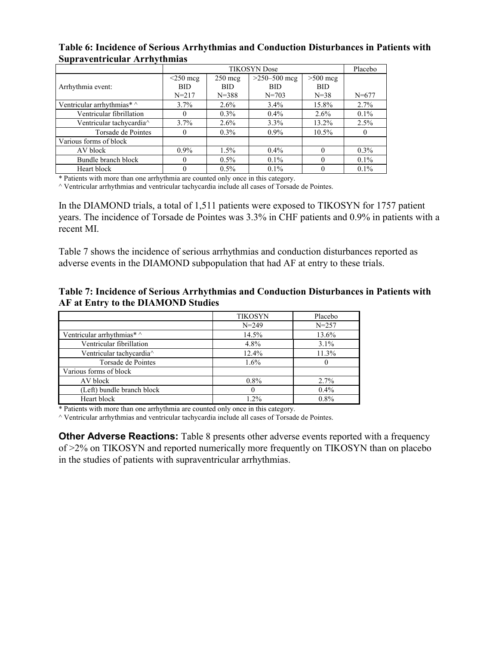|                              | Table 6: Incidence of Serious Arrhythmias and Conduction Disturbances in Patients with |
|------------------------------|----------------------------------------------------------------------------------------|
| Supraventricular Arrhythmias |                                                                                        |

|                                                        |             | <b>TIKOSYN</b> Dose |                  |            | Placebo   |
|--------------------------------------------------------|-------------|---------------------|------------------|------------|-----------|
|                                                        | $<$ 250 mcg | $250 \text{ mcg}$   | $>250 - 500$ mcg | $>500$ mcg |           |
| Arrhythmia event:                                      | <b>BID</b>  | <b>BID</b>          | <b>BID</b>       | <b>BID</b> |           |
|                                                        | $N = 217$   | $N = 388$           | $N = 703$        | $N = 38$   | $N = 677$ |
| Ventricular arrhythmias* ^                             | $3.7\%$     | $2.6\%$             | $3.4\%$          | 15.8%      | 2.7%      |
| Ventricular fibrillation                               | 0           | $0.3\%$             | $0.4\%$          | $2.6\%$    | $0.1\%$   |
| Ventricular tachycardia <sup><math>\wedge</math></sup> | $3.7\%$     | $2.6\%$             | $3.3\%$          | 13.2%      | 2.5%      |
| Torsade de Pointes                                     |             | $0.3\%$             | $0.9\%$          | $10.5\%$   | $\theta$  |
| Various forms of block                                 |             |                     |                  |            |           |
| AV block                                               | $0.9\%$     | $1.5\%$             | $0.4\%$          | $\Omega$   | $0.3\%$   |
| Bundle branch block                                    | $\theta$    | $0.5\%$             | $0.1\%$          | 0          | $0.1\%$   |
| Heart block                                            | 0           | $0.5\%$             | $0.1\%$          | 0          | $0.1\%$   |

\* Patients with more than one arrhythmia are counted only once in this category.

^ Ventricular arrhythmias and ventricular tachycardia include all cases of Torsade de Pointes.

In the DIAMOND trials, a total of 1,511 patients were exposed to TIKOSYN for 1757 patient years. The incidence of Torsade de Pointes was 3.3% in CHF patients and 0.9% in patients with a recent MI.

Table 7 shows the incidence of serious arrhythmias and conduction disturbances reported as adverse events in the DIAMOND subpopulation that had AF at entry to these trials.

**Table 7: Incidence of Serious Arrhythmias and Conduction Disturbances in Patients with AF at Entry to the DIAMOND Studies**

|                                      | <b>TIKOSYN</b> | Placebo   |
|--------------------------------------|----------------|-----------|
|                                      | $N = 249$      | $N = 257$ |
| Ventricular arrhythmias* ^           | 14.5%          | 13.6%     |
| Ventricular fibrillation             | 4.8%           | 3.1%      |
| Ventricular tachycardia <sup>^</sup> | 12.4%          | 11.3%     |
| Torsade de Pointes                   | $1.6\%$        |           |
| Various forms of block               |                |           |
| AV block                             | $0.8\%$        | 2.7%      |
| (Left) bundle branch block           | $\theta$       | 0.4%      |
| Heart block                          | $1.2\%$        | $0.8\%$   |

\* Patients with more than one arrhythmia are counted only once in this category.

^ Ventricular arrhythmias and ventricular tachycardia include all cases of Torsade de Pointes.

**Other Adverse Reactions:** Table 8 presents other adverse events reported with a frequency of >2% on TIKOSYN and reported numerically more frequently on TIKOSYN than on placebo in the studies of patients with supraventricular arrhythmias.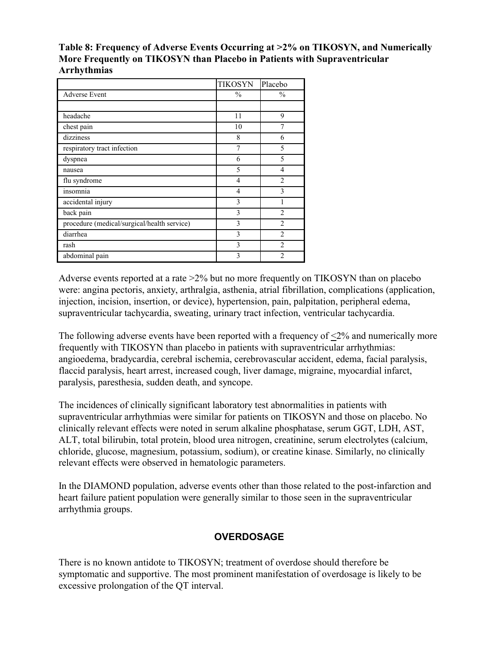**Table 8: Frequency of Adverse Events Occurring at >2% on TIKOSYN, and Numerically More Frequently on TIKOSYN than Placebo in Patients with Supraventricular Arrhythmias**

|                                             | <b>TIKOSYN</b> | Placebo        |
|---------------------------------------------|----------------|----------------|
| <b>Adverse Event</b>                        | $\frac{0}{0}$  | $\frac{0}{0}$  |
|                                             |                |                |
| headache                                    | 11             | 9              |
| chest pain                                  | 10             | 7              |
| dizziness                                   | 8              | 6              |
| respiratory tract infection                 | 7              | 5              |
| dyspnea                                     | 6              | 5              |
| nausea                                      | 5              | $\overline{4}$ |
| flu syndrome                                | 4              | $\overline{2}$ |
| insomnia                                    | 4              | 3              |
| accidental injury                           | 3              |                |
| back pain                                   | 3              | $\mathfrak{D}$ |
| procedure (medical/surgical/health service) | 3              | $\mathfrak{D}$ |
| diarrhea                                    | 3              | $\overline{2}$ |
| rash                                        | 3              | $\mathfrak{D}$ |
| abdominal pain                              | 3              | $\mathfrak{D}$ |

Adverse events reported at a rate >2% but no more frequently on TIKOSYN than on placebo were: angina pectoris, anxiety, arthralgia, asthenia, atrial fibrillation, complications (application, injection, incision, insertion, or device), hypertension, pain, palpitation, peripheral edema, supraventricular tachycardia, sweating, urinary tract infection, ventricular tachycardia.

The following adverse events have been reported with a frequency of  $\langle 2\%$  and numerically more frequently with TIKOSYN than placebo in patients with supraventricular arrhythmias: angioedema, bradycardia, cerebral ischemia, cerebrovascular accident, edema, facial paralysis, flaccid paralysis, heart arrest, increased cough, liver damage, migraine, myocardial infarct, paralysis, paresthesia, sudden death, and syncope.

The incidences of clinically significant laboratory test abnormalities in patients with supraventricular arrhythmias were similar for patients on TIKOSYN and those on placebo. No clinically relevant effects were noted in serum alkaline phosphatase, serum GGT, LDH, AST, ALT, total bilirubin, total protein, blood urea nitrogen, creatinine, serum electrolytes (calcium, chloride, glucose, magnesium, potassium, sodium), or creatine kinase. Similarly, no clinically relevant effects were observed in hematologic parameters.

In the DIAMOND population, adverse events other than those related to the post-infarction and heart failure patient population were generally similar to those seen in the supraventricular arrhythmia groups.

# **OVERDOSAGE**

There is no known antidote to TIKOSYN; treatment of overdose should therefore be symptomatic and supportive. The most prominent manifestation of overdosage is likely to be excessive prolongation of the QT interval.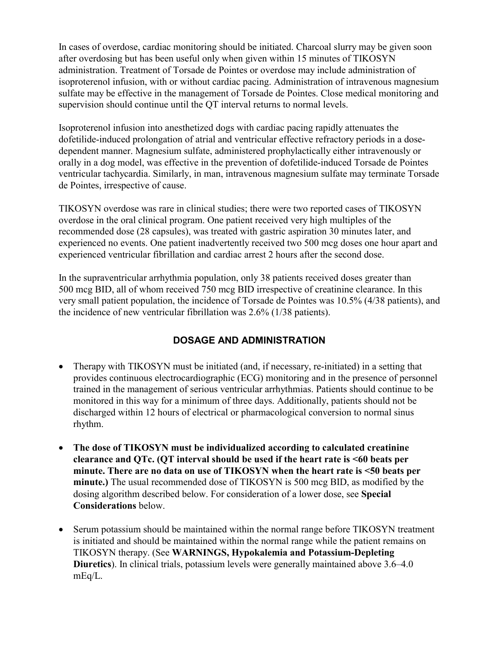In cases of overdose, cardiac monitoring should be initiated. Charcoal slurry may be given soon after overdosing but has been useful only when given within 15 minutes of TIKOSYN administration. Treatment of Torsade de Pointes or overdose may include administration of isoproterenol infusion, with or without cardiac pacing. Administration of intravenous magnesium sulfate may be effective in the management of Torsade de Pointes. Close medical monitoring and supervision should continue until the QT interval returns to normal levels.

Isoproterenol infusion into anesthetized dogs with cardiac pacing rapidly attenuates the dofetilide-induced prolongation of atrial and ventricular effective refractory periods in a dosedependent manner. Magnesium sulfate, administered prophylactically either intravenously or orally in a dog model, was effective in the prevention of dofetilide-induced Torsade de Pointes ventricular tachycardia. Similarly, in man, intravenous magnesium sulfate may terminate Torsade de Pointes, irrespective of cause.

TIKOSYN overdose was rare in clinical studies; there were two reported cases of TIKOSYN overdose in the oral clinical program. One patient received very high multiples of the recommended dose (28 capsules), was treated with gastric aspiration 30 minutes later, and experienced no events. One patient inadvertently received two 500 mcg doses one hour apart and experienced ventricular fibrillation and cardiac arrest 2 hours after the second dose.

In the supraventricular arrhythmia population, only 38 patients received doses greater than 500 mcg BID, all of whom received 750 mcg BID irrespective of creatinine clearance. In this very small patient population, the incidence of Torsade de Pointes was 10.5% (4/38 patients), and the incidence of new ventricular fibrillation was 2.6% (1/38 patients).

# **DOSAGE AND ADMINISTRATION**

- Therapy with TIKOSYN must be initiated (and, if necessary, re-initiated) in a setting that provides continuous electrocardiographic (ECG) monitoring and in the presence of personnel trained in the management of serious ventricular arrhythmias. Patients should continue to be monitored in this way for a minimum of three days. Additionally, patients should not be discharged within 12 hours of electrical or pharmacological conversion to normal sinus rhythm.
- **The dose of TIKOSYN must be individualized according to calculated creatinine clearance and QTc. (QT interval should be used if the heart rate is <60 beats per minute. There are no data on use of TIKOSYN when the heart rate is <50 beats per minute.)** The usual recommended dose of TIKOSYN is 500 mcg BID, as modified by the dosing algorithm described below. For consideration of a lower dose, see **Special Considerations** below.
- Serum potassium should be maintained within the normal range before TIKOSYN treatment is initiated and should be maintained within the normal range while the patient remains on TIKOSYN therapy. (See **WARNINGS, Hypokalemia and Potassium-Depleting Diuretics**). In clinical trials, potassium levels were generally maintained above 3.6–4.0 mEq/L.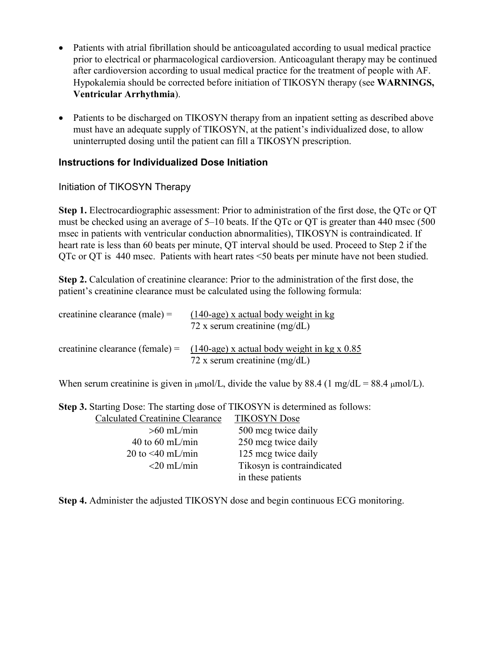- Patients with atrial fibrillation should be anticoagulated according to usual medical practice prior to electrical or pharmacological cardioversion. Anticoagulant therapy may be continued after cardioversion according to usual medical practice for the treatment of people with AF. Hypokalemia should be corrected before initiation of TIKOSYN therapy (see **WARNINGS, Ventricular Arrhythmia**).
- Patients to be discharged on TIKOSYN therapy from an inpatient setting as described above must have an adequate supply of TIKOSYN, at the patient's individualized dose, to allow uninterrupted dosing until the patient can fill a TIKOSYN prescription.

#### **Instructions for Individualized Dose Initiation**

Initiation of TIKOSYN Therapy

**Step 1.** Electrocardiographic assessment: Prior to administration of the first dose, the QTc or QT must be checked using an average of 5–10 beats. If the QTc or QT is greater than 440 msec (500 msec in patients with ventricular conduction abnormalities), TIKOSYN is contraindicated. If heart rate is less than 60 beats per minute, QT interval should be used. Proceed to Step 2 if the QTc or QT is 440 msec. Patients with heart rates <50 beats per minute have not been studied.

**Step 2.** Calculation of creatinine clearance: Prior to the administration of the first dose, the patient's creatinine clearance must be calculated using the following formula:

| creatinine clearance $(male)$ = | $(140 \text{-} \text{age})$ x actual body weight in kg<br>72 x serum creatinine (mg/dL)                                               |
|---------------------------------|---------------------------------------------------------------------------------------------------------------------------------------|
|                                 | creatinine clearance (female) = $(140 - \text{age}) \times \text{actual}$ body weight in kg x 0.85<br>72 x serum creatinine $(mg/dL)$ |

When serum creatinine is given in  $\mu$ mol/L, divide the value by 88.4 (1 mg/dL = 88.4  $\mu$ mol/L).

**Step 3.** Starting Dose: The starting dose of TIKOSYN is determined as follows:

| <b>Calculated Creatinine Clearance</b> | <b>TIKOSYN</b> Dose        |
|----------------------------------------|----------------------------|
| $>60$ mL/min                           | 500 mcg twice daily        |
| 40 to 60 mL/min                        | 250 mcg twice daily        |
| 20 to $\leq 40$ mL/min                 | 125 mcg twice daily        |
| $<$ 20 mL/min                          | Tikosyn is contraindicated |
|                                        | in these patients          |

**Step 4.** Administer the adjusted TIKOSYN dose and begin continuous ECG monitoring.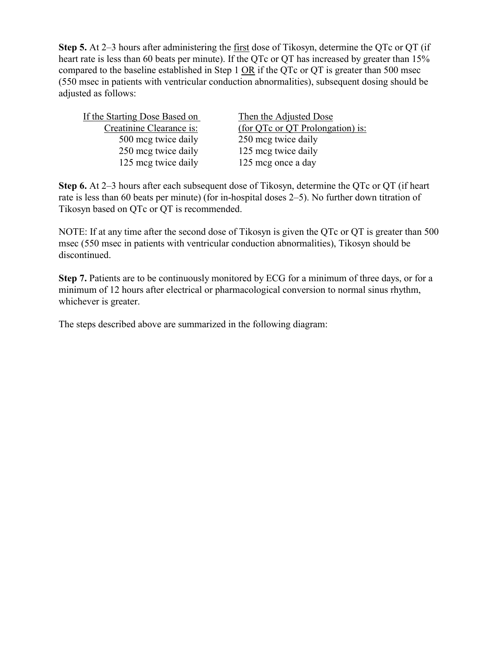**Step 5.** At 2–3 hours after administering the first dose of Tikosyn, determine the QTc or QT (if heart rate is less than 60 beats per minute). If the OTc or OT has increased by greater than 15% compared to the baseline established in Step 1 OR if the QTc or QT is greater than 500 msec (550 msec in patients with ventricular conduction abnormalities), subsequent dosing should be adjusted as follows:

| If the Starting Dose Based on | Then the Adjusted Dose           |
|-------------------------------|----------------------------------|
| Creatinine Clearance is:      | (for QTc or QT Prolongation) is: |
| 500 mcg twice daily           | 250 mcg twice daily              |
| 250 mcg twice daily           | 125 mcg twice daily              |
| 125 mcg twice daily           | 125 mcg once a day               |

**Step 6.** At 2–3 hours after each subsequent dose of Tikosyn, determine the OTc or OT (if heart rate is less than 60 beats per minute) (for in-hospital doses 2–5). No further down titration of Tikosyn based on QTc or QT is recommended.

NOTE: If at any time after the second dose of Tikosyn is given the QTc or QT is greater than 500 msec (550 msec in patients with ventricular conduction abnormalities), Tikosyn should be discontinued.

**Step 7.** Patients are to be continuously monitored by ECG for a minimum of three days, or for a minimum of 12 hours after electrical or pharmacological conversion to normal sinus rhythm, whichever is greater.

The steps described above are summarized in the following diagram: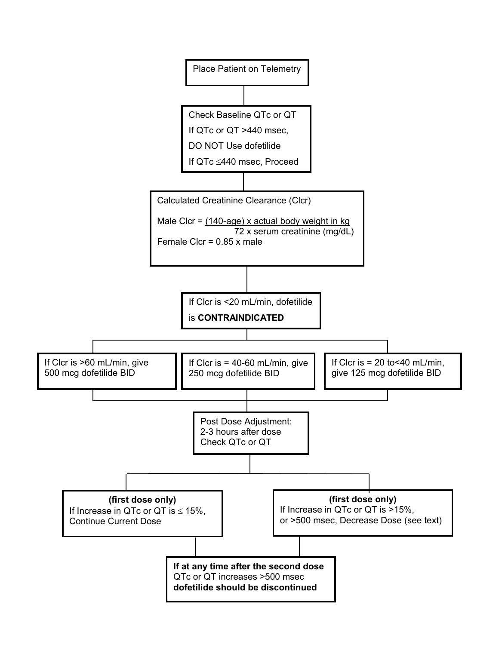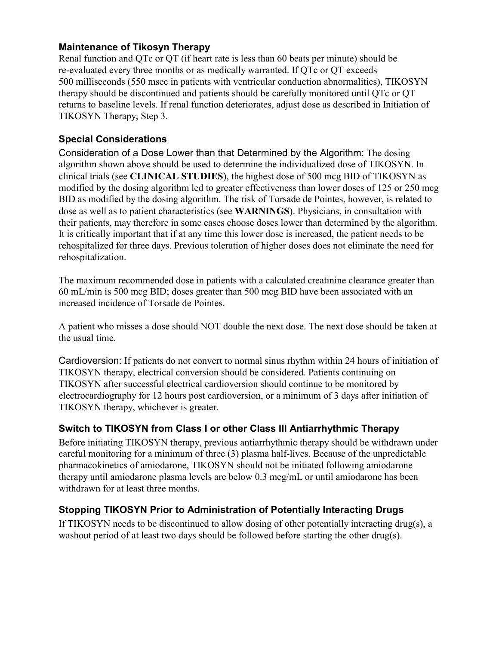## **Maintenance of Tikosyn Therapy**

Renal function and QTc or QT (if heart rate is less than 60 beats per minute) should be re-evaluated every three months or as medically warranted. If QTc or QT exceeds 500 milliseconds (550 msec in patients with ventricular conduction abnormalities), TIKOSYN therapy should be discontinued and patients should be carefully monitored until QTc or QT returns to baseline levels. If renal function deteriorates, adjust dose as described in Initiation of TIKOSYN Therapy, Step 3.

### **Special Considerations**

Consideration of a Dose Lower than that Determined by the Algorithm: The dosing algorithm shown above should be used to determine the individualized dose of TIKOSYN. In clinical trials (see **CLINICAL STUDIES**), the highest dose of 500 mcg BID of TIKOSYN as modified by the dosing algorithm led to greater effectiveness than lower doses of 125 or 250 mcg BID as modified by the dosing algorithm. The risk of Torsade de Pointes, however, is related to dose as well as to patient characteristics (see **WARNINGS**). Physicians, in consultation with their patients, may therefore in some cases choose doses lower than determined by the algorithm. It is critically important that if at any time this lower dose is increased, the patient needs to be rehospitalized for three days. Previous toleration of higher doses does not eliminate the need for rehospitalization.

The maximum recommended dose in patients with a calculated creatinine clearance greater than 60 mL/min is 500 mcg BID; doses greater than 500 mcg BID have been associated with an increased incidence of Torsade de Pointes.

A patient who misses a dose should NOT double the next dose. The next dose should be taken at the usual time.

Cardioversion: If patients do not convert to normal sinus rhythm within 24 hours of initiation of TIKOSYN therapy, electrical conversion should be considered. Patients continuing on TIKOSYN after successful electrical cardioversion should continue to be monitored by electrocardiography for 12 hours post cardioversion, or a minimum of 3 days after initiation of TIKOSYN therapy, whichever is greater.

#### **Switch to TIKOSYN from Class I or other Class III Antiarrhythmic Therapy**

Before initiating TIKOSYN therapy, previous antiarrhythmic therapy should be withdrawn under careful monitoring for a minimum of three (3) plasma half-lives. Because of the unpredictable pharmacokinetics of amiodarone, TIKOSYN should not be initiated following amiodarone therapy until amiodarone plasma levels are below 0.3 mcg/mL or until amiodarone has been withdrawn for at least three months.

## **Stopping TIKOSYN Prior to Administration of Potentially Interacting Drugs**

If TIKOSYN needs to be discontinued to allow dosing of other potentially interacting drug(s), a washout period of at least two days should be followed before starting the other drug(s).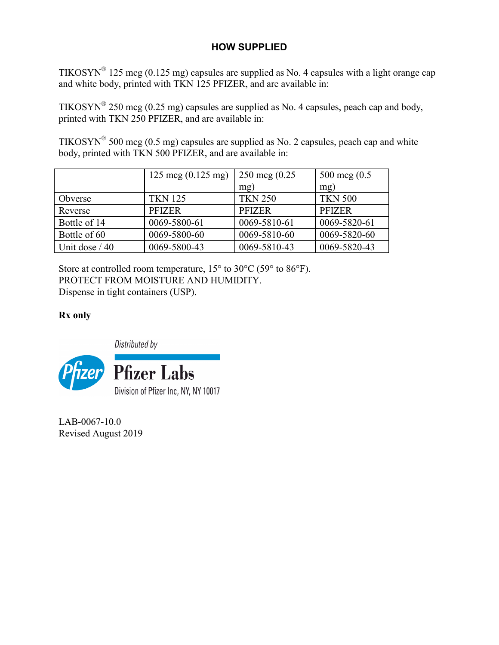# **HOW SUPPLIED**

TIKOSYN<sup>®</sup> 125 mcg (0.125 mg) capsules are supplied as No. 4 capsules with a light orange cap and white body, printed with TKN 125 PFIZER, and are available in:

TIKOSYN<sup>®</sup> 250 mcg (0.25 mg) capsules are supplied as No. 4 capsules, peach cap and body, printed with TKN 250 PFIZER, and are available in:

TIKOSYN<sup>®</sup> 500 mcg (0.5 mg) capsules are supplied as No. 2 capsules, peach cap and white body, printed with TKN 500 PFIZER, and are available in:

|                 | $125 \text{ mcg} (0.125 \text{ mg})$ | $250 \text{ mcg} (0.25)$ | 500 mcg $(0.5)$ |
|-----------------|--------------------------------------|--------------------------|-----------------|
|                 |                                      | mg)                      | mg)             |
| Obverse         | <b>TKN 125</b>                       | <b>TKN 250</b>           | <b>TKN 500</b>  |
| Reverse         | <b>PFIZER</b>                        | <b>PFIZER</b>            | <b>PFIZER</b>   |
| Bottle of 14    | 0069-5800-61                         | 0069-5810-61             | 0069-5820-61    |
| Bottle of 60    | 0069-5800-60                         | 0069-5810-60             | 0069-5820-60    |
| Unit dose $/40$ | 0069-5800-43                         | 0069-5810-43             | 0069-5820-43    |

Store at controlled room temperature, 15° to 30°C (59° to 86°F). PROTECT FROM MOISTURE AND HUMIDITY. Dispense in tight containers (USP).

## **Rx only**

Distributed by



LAB-0067-10.0 Revised August 2019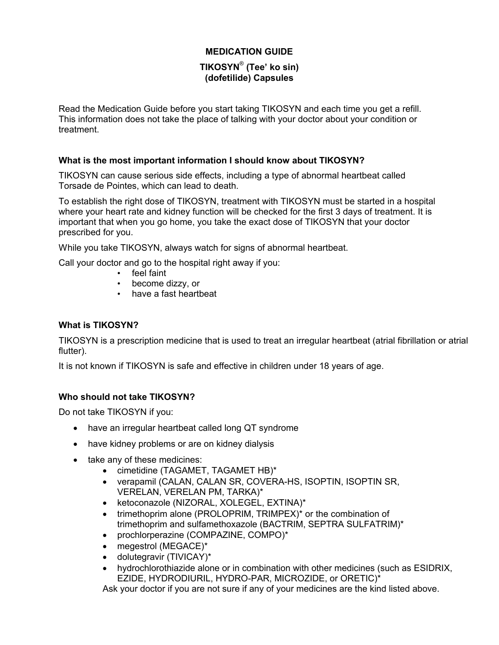#### **MEDICATION GUIDE**

#### **TIKOSYN**® **(Tee' ko sin) (dofetilide) Capsules**

Read the Medication Guide before you start taking TIKOSYN and each time you get a refill. This information does not take the place of talking with your doctor about your condition or treatment.

#### **What is the most important information I should know about TIKOSYN?**

TIKOSYN can cause serious side effects, including a type of abnormal heartbeat called Torsade de Pointes, which can lead to death.

To establish the right dose of TIKOSYN, treatment with TIKOSYN must be started in a hospital where your heart rate and kidney function will be checked for the first 3 days of treatment. It is important that when you go home, you take the exact dose of TIKOSYN that your doctor prescribed for you.

While you take TIKOSYN, always watch for signs of abnormal heartbeat.

Call your doctor and go to the hospital right away if you:

- feel faint
- become dizzy, or
- have a fast heartbeat

#### **What is TIKOSYN?**

TIKOSYN is a prescription medicine that is used to treat an irregular heartbeat (atrial fibrillation or atrial flutter).

It is not known if TIKOSYN is safe and effective in children under 18 years of age.

#### **Who should not take TIKOSYN?**

Do not take TIKOSYN if you:

- have an irregular heartbeat called long QT syndrome
- have kidney problems or are on kidney dialysis
- take any of these medicines:
	- cimetidine (TAGAMET, TAGAMET HB)\*
	- verapamil (CALAN, CALAN SR, COVERA-HS, ISOPTIN, ISOPTIN SR, VERELAN, VERELAN PM, TARKA)\*
	- ketoconazole (NIZORAL, XOLEGEL, EXTINA)\*
	- trimethoprim alone (PROLOPRIM, TRIMPEX)\* or the combination of trimethoprim and sulfamethoxazole (BACTRIM, SEPTRA SULFATRIM)\*
	- prochlorperazine (COMPAZINE, COMPO)\*
	- megestrol (MEGACE)\*
	- dolutegravir (TIVICAY)\*
	- hydrochlorothiazide alone or in combination with other medicines (such as ESIDRIX, EZIDE, HYDRODIURIL, HYDRO-PAR, MICROZIDE, or ORETIC)\*

Ask your doctor if you are not sure if any of your medicines are the kind listed above.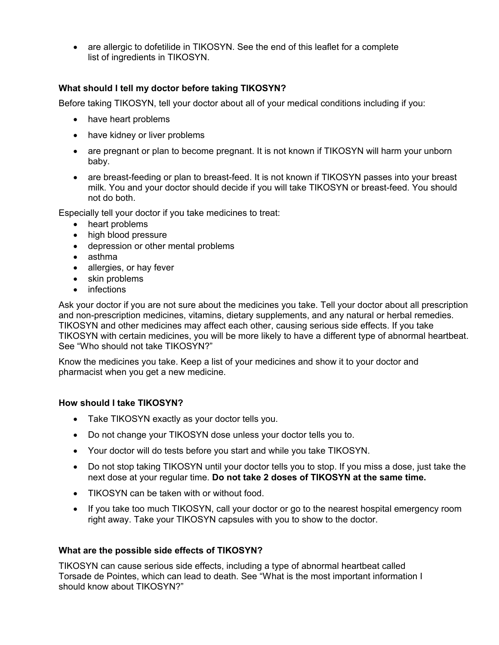• are allergic to dofetilide in TIKOSYN. See the end of this leaflet for a complete list of ingredients in TIKOSYN.

#### **What should I tell my doctor before taking TIKOSYN?**

Before taking TIKOSYN, tell your doctor about all of your medical conditions including if you:

- have heart problems
- have kidney or liver problems
- are pregnant or plan to become pregnant. It is not known if TIKOSYN will harm your unborn baby.
- are breast-feeding or plan to breast-feed. It is not known if TIKOSYN passes into your breast milk. You and your doctor should decide if you will take TIKOSYN or breast-feed. You should not do both.

Especially tell your doctor if you take medicines to treat:

- heart problems
- high blood pressure
- depression or other mental problems
- asthma
- allergies, or hay fever
- skin problems
- infections

Ask your doctor if you are not sure about the medicines you take. Tell your doctor about all prescription and non-prescription medicines, vitamins, dietary supplements, and any natural or herbal remedies. TIKOSYN and other medicines may affect each other, causing serious side effects. If you take TIKOSYN with certain medicines, you will be more likely to have a different type of abnormal heartbeat. See "Who should not take TIKOSYN?"

Know the medicines you take. Keep a list of your medicines and show it to your doctor and pharmacist when you get a new medicine.

#### **How should I take TIKOSYN?**

- Take TIKOSYN exactly as your doctor tells you.
- Do not change your TIKOSYN dose unless your doctor tells you to.
- Your doctor will do tests before you start and while you take TIKOSYN.
- Do not stop taking TIKOSYN until your doctor tells you to stop. If you miss a dose, just take the next dose at your regular time. **Do not take 2 doses of TIKOSYN at the same time.**
- TIKOSYN can be taken with or without food.
- If you take too much TIKOSYN, call your doctor or go to the nearest hospital emergency room right away. Take your TIKOSYN capsules with you to show to the doctor.

#### **What are the possible side effects of TIKOSYN?**

TIKOSYN can cause serious side effects, including a type of abnormal heartbeat called Torsade de Pointes, which can lead to death. See "What is the most important information I should know about TIKOSYN?"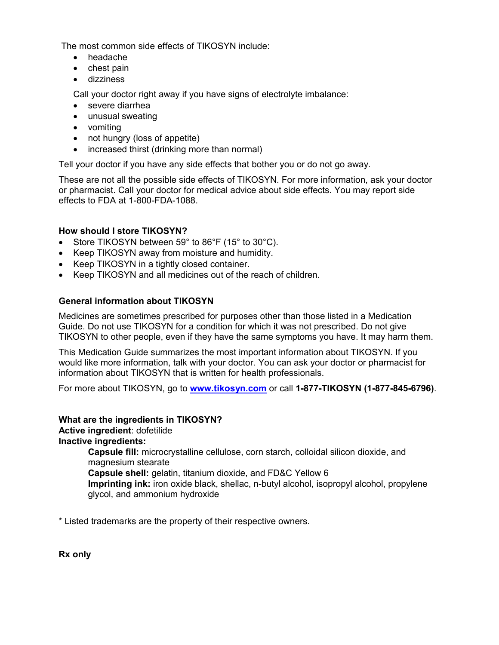The most common side effects of TIKOSYN include:

- headache
- chest pain
- dizziness

Call your doctor right away if you have signs of electrolyte imbalance:

- severe diarrhea
- unusual sweating
- vomiting
- not hungry (loss of appetite)
- increased thirst (drinking more than normal)

Tell your doctor if you have any side effects that bother you or do not go away.

These are not all the possible side effects of TIKOSYN. For more information, ask your doctor or pharmacist. Call your doctor for medical advice about side effects. You may report side effects to FDA at 1-800-FDA-1088.

#### **How should I store TIKOSYN?**

- Store TIKOSYN between 59° to 86°F (15° to 30°C).
- Keep TIKOSYN away from moisture and humidity.
- Keep TIKOSYN in a tightly closed container.
- Keep TIKOSYN and all medicines out of the reach of children.

#### **General information about TIKOSYN**

Medicines are sometimes prescribed for purposes other than those listed in a Medication Guide. Do not use TIKOSYN for a condition for which it was not prescribed. Do not give TIKOSYN to other people, even if they have the same symptoms you have. It may harm them.

This Medication Guide summarizes the most important information about TIKOSYN. If you would like more information, talk with your doctor. You can ask your doctor or pharmacist for information about TIKOSYN that is written for health professionals.

For more about TIKOSYN, go to **[www.tikosyn.com](http://www.tikosyn.com/)** or call **1-877-TIKOSYN (1-877-845-6796)**.

#### **What are the ingredients in TIKOSYN?**

#### **Active ingredient**: dofetilide

#### **Inactive ingredients:**

**Capsule fill:** microcrystalline cellulose, corn starch, colloidal silicon dioxide, and magnesium stearate

**Capsule shell:** gelatin, titanium dioxide, and FD&C Yellow 6

**Imprinting ink:** iron oxide black, shellac, n-butyl alcohol, isopropyl alcohol, propylene glycol, and ammonium hydroxide

\* Listed trademarks are the property of their respective owners.

**Rx only**